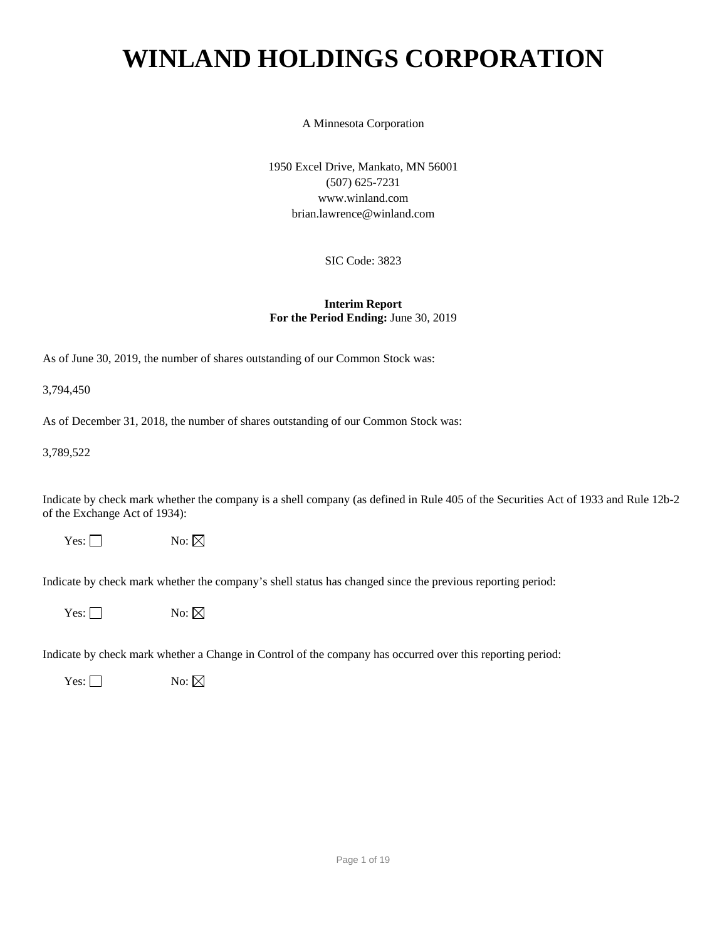# **WINLAND HOLDINGS CORPORATION**

A Minnesota Corporation

1950 Excel Drive, Mankato, MN 56001 (507) 625-7231 www.winland.com brian.lawrence@winland.com

SIC Code: 3823

## **Interim Report For the Period Ending:** June 30, 2019

As of June 30, 2019, the number of shares outstanding of our Common Stock was:

3,794,450

As of December 31, 2018, the number of shares outstanding of our Common Stock was:

3,789,522

Indicate by check mark whether the company is a shell company (as defined in Rule 405 of the Securities Act of 1933 and Rule 12b-2 of the Exchange Act of 1934):

Yes:  $\Box$  No:  $\boxtimes$ 

Indicate by check mark whether the company's shell status has changed since the previous reporting period:

Yes:  $\Box$  No:  $\boxtimes$ 

Indicate by check mark whether a Change in Control of the company has occurred over this reporting period:

Yes:  $\Box$  No:  $\boxtimes$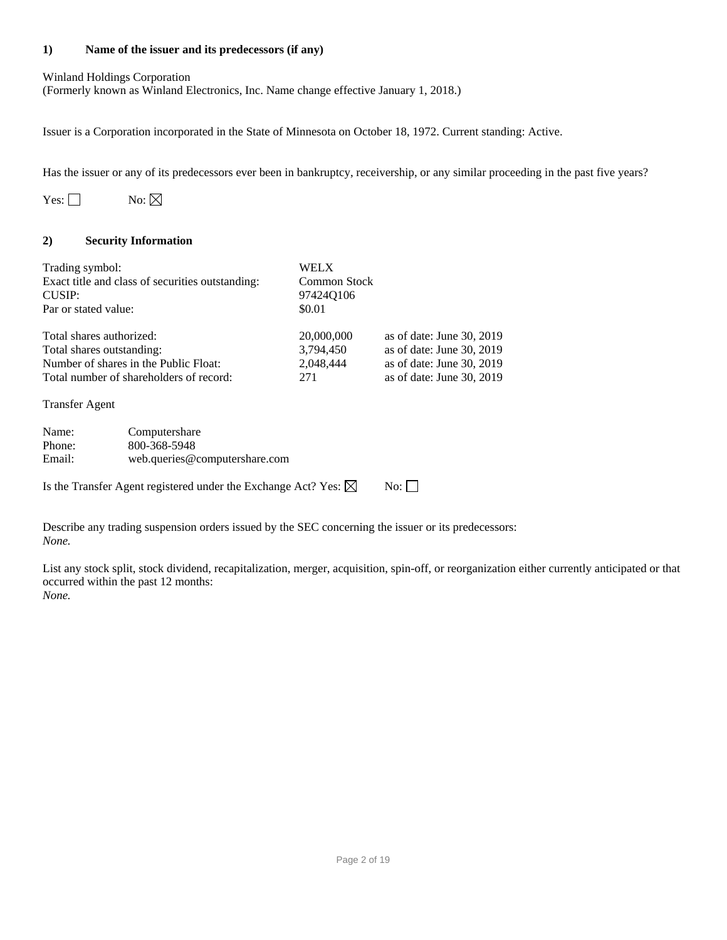#### **1) Name of the issuer and its predecessors (if any)**

Winland Holdings Corporation (Formerly known as Winland Electronics, Inc. Name change effective January 1, 2018.)

Issuer is a Corporation incorporated in the State of Minnesota on October 18, 1972. Current standing: Active.

Has the issuer or any of its predecessors ever been in bankruptcy, receivership, or any similar proceeding in the past five years?

Yes:  $\Box$  No:  $\boxtimes$ 

#### **2) Security Information**

| Trading symbol:                                  | WELX         |                             |
|--------------------------------------------------|--------------|-----------------------------|
| Exact title and class of securities outstanding: | Common Stock |                             |
| CUSIP:                                           | 974240106    |                             |
| Par or stated value:                             | \$0.01       |                             |
| Total shares authorized:                         | 20,000,000   | as of date: June $30, 2019$ |
| Total shares outstanding:                        | 3,794,450    | as of date: June 30, 2019   |
| Number of shares in the Public Float:            | 2,048,444    | as of date: June 30, 2019   |
| Total number of shareholders of record:          | 271          | as of date: June 30, 2019   |
|                                                  |              |                             |

Transfer Agent

| Name:  | Computershare                 |
|--------|-------------------------------|
| Phone: | 800-368-5948                  |
| Email: | web.queries@computershare.com |
|        |                               |

Is the Transfer Agent registered under the Exchange Act? Yes:  $\boxtimes$  No:  $\Box$ 

Describe any trading suspension orders issued by the SEC concerning the issuer or its predecessors: *None.* 

List any stock split, stock dividend, recapitalization, merger, acquisition, spin-off, or reorganization either currently anticipated or that occurred within the past 12 months: *None.*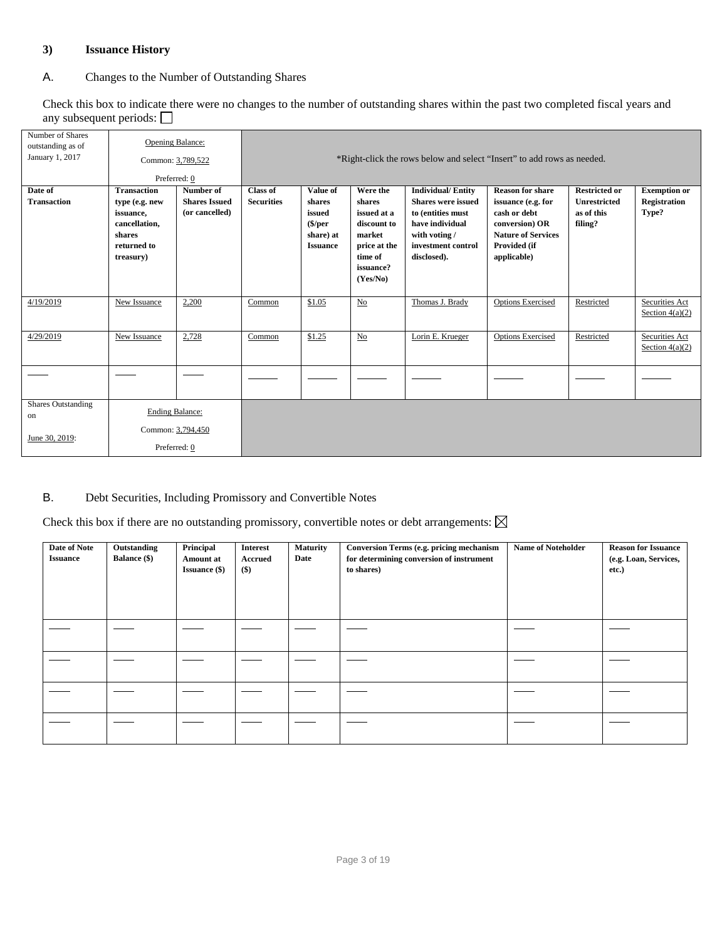## **3) Issuance History**

# A. Changes to the Number of Outstanding Shares

Check this box to indicate there were no changes to the number of outstanding shares within the past two completed fiscal years and any subsequent periods:  $\Box$ 

| Number of Shares<br>outstanding as of<br>January 1, 2017 | Opening Balance:<br>Common: 3,789,522                                                                    | Preferred: 0                                        | *Right-click the rows below and select "Insert" to add rows as needed. |                                                                        |                                                                                                                |                                                                                                                                                     |                                                                                                                                             |                                                                      |                                                     |
|----------------------------------------------------------|----------------------------------------------------------------------------------------------------------|-----------------------------------------------------|------------------------------------------------------------------------|------------------------------------------------------------------------|----------------------------------------------------------------------------------------------------------------|-----------------------------------------------------------------------------------------------------------------------------------------------------|---------------------------------------------------------------------------------------------------------------------------------------------|----------------------------------------------------------------------|-----------------------------------------------------|
| Date of<br><b>Transaction</b>                            | <b>Transaction</b><br>type (e.g. new<br>issuance,<br>cancellation,<br>shares<br>returned to<br>treasury) | Number of<br><b>Shares Issued</b><br>(or cancelled) | <b>Class of</b><br><b>Securities</b>                                   | Value of<br>shares<br>issued<br>\$/per<br>share) at<br><b>Issuance</b> | Were the<br>shares<br>issued at a<br>discount to<br>market<br>price at the<br>time of<br>issuance?<br>(Yes/No) | <b>Individual/Entity</b><br><b>Shares were issued</b><br>to (entities must<br>have individual<br>with voting /<br>investment control<br>disclosed). | <b>Reason for share</b><br>issuance (e.g. for<br>cash or debt<br>conversion) OR<br><b>Nature of Services</b><br>Provided (if<br>applicable) | <b>Restricted or</b><br><b>Unrestricted</b><br>as of this<br>filing? | <b>Exemption or</b><br><b>Registration</b><br>Type? |
| 4/19/2019                                                | New Issuance                                                                                             | 2,200                                               | Common                                                                 | \$1.05                                                                 | No                                                                                                             | Thomas J. Brady                                                                                                                                     | <b>Options Exercised</b>                                                                                                                    | Restricted                                                           | Securities Act<br>Section $4(a)(2)$                 |
| 4/29/2019                                                | New Issuance                                                                                             | 2,728                                               | Common                                                                 | \$1.25                                                                 | $\overline{\text{No}}$                                                                                         | Lorin E. Krueger                                                                                                                                    | <b>Options Exercised</b>                                                                                                                    | Restricted                                                           | Securities Act<br>Section $4(a)(2)$                 |
|                                                          |                                                                                                          |                                                     |                                                                        |                                                                        |                                                                                                                |                                                                                                                                                     |                                                                                                                                             |                                                                      |                                                     |
| <b>Shares Outstanding</b><br>on<br>June 30, 2019:        | <b>Ending Balance:</b><br>Common: 3,794,450                                                              | Preferred: 0                                        |                                                                        |                                                                        |                                                                                                                |                                                                                                                                                     |                                                                                                                                             |                                                                      |                                                     |

# B. Debt Securities, Including Promissory and Convertible Notes

Check this box if there are no outstanding promissory, convertible notes or debt arrangements:  $\boxtimes$ 

| Date of Note<br><b>Issuance</b> | Outstanding<br><b>Balance</b> (\$) | Principal<br>Amount at<br><b>Issuance</b> (\$) | <b>Interest</b><br>Accrued<br>$($)$ | <b>Maturity</b><br>Date | Conversion Terms (e.g. pricing mechanism<br>for determining conversion of instrument<br>to shares) | <b>Name of Noteholder</b> | <b>Reason for Issuance</b><br>(e.g. Loan, Services,<br>etc.) |
|---------------------------------|------------------------------------|------------------------------------------------|-------------------------------------|-------------------------|----------------------------------------------------------------------------------------------------|---------------------------|--------------------------------------------------------------|
|                                 |                                    |                                                |                                     |                         |                                                                                                    |                           |                                                              |
|                                 |                                    |                                                |                                     |                         |                                                                                                    |                           |                                                              |
|                                 |                                    |                                                |                                     |                         |                                                                                                    |                           |                                                              |
|                                 |                                    |                                                |                                     |                         |                                                                                                    |                           |                                                              |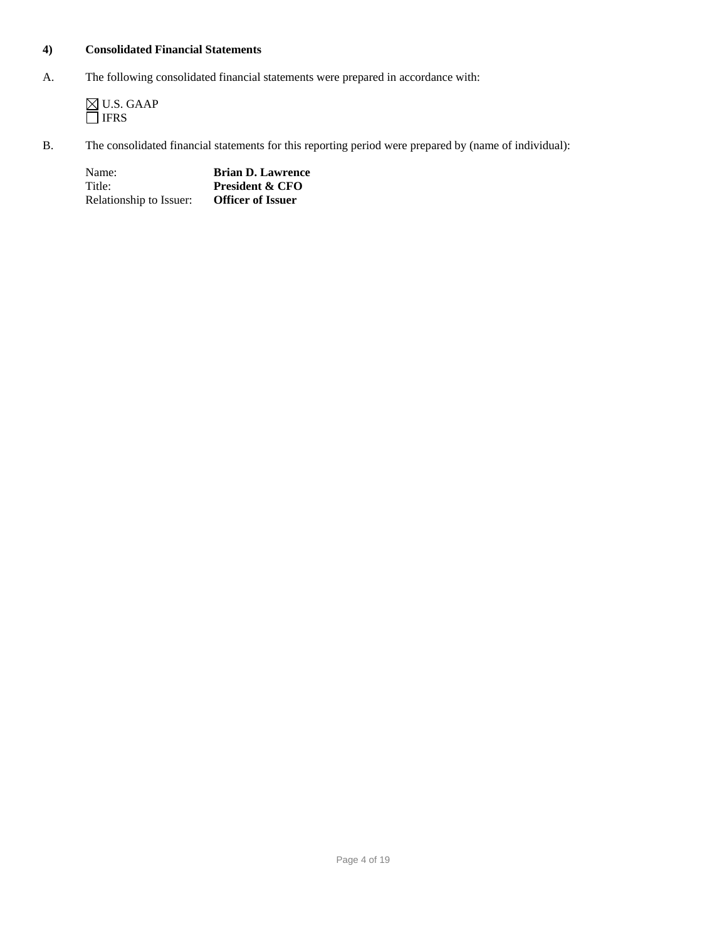## **4) Consolidated Financial Statements**

A. The following consolidated financial statements were prepared in accordance with:

 U.S. GAAP IFRS

B. The consolidated financial statements for this reporting period were prepared by (name of individual):

| Name:                   | <b>Brian D. Lawrence</b>   |
|-------------------------|----------------------------|
| Title:                  | <b>President &amp; CFO</b> |
| Relationship to Issuer: | <b>Officer of Issuer</b>   |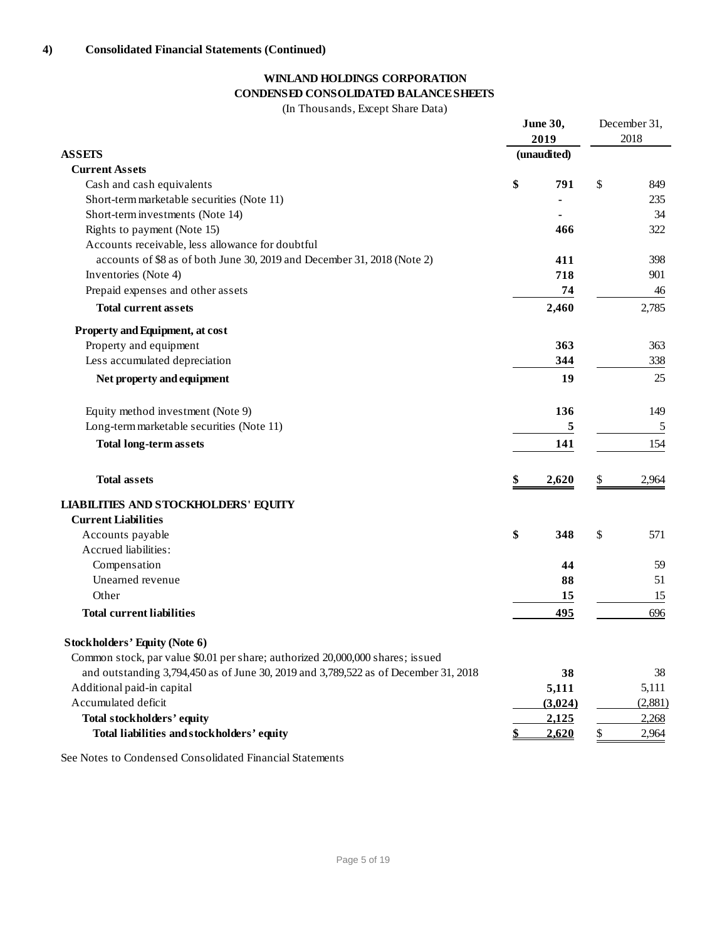## **WINLAND HOLDINGS CORPORATION CONDENSED CONSOLIDATED BALANCE SHEETS**

(In Thousands, Except Share Data)

|                                                                                     |    | <b>June 30,</b> | December 31, |         |
|-------------------------------------------------------------------------------------|----|-----------------|--------------|---------|
|                                                                                     |    | 2019            |              | 2018    |
| <b>ASSETS</b><br><b>Current Assets</b>                                              |    | (unaudited)     |              |         |
| Cash and cash equivalents                                                           | \$ | 791             | \$           | 849     |
| Short-term marketable securities (Note 11)                                          |    |                 |              | 235     |
| Short-term investments (Note 14)                                                    |    |                 |              | 34      |
| Rights to payment (Note 15)                                                         |    | 466             |              | 322     |
| Accounts receivable, less allowance for doubtful                                    |    |                 |              |         |
| accounts of \$8 as of both June 30, 2019 and December 31, 2018 (Note 2)             |    | 411             |              | 398     |
| Inventories (Note 4)                                                                |    | 718             |              | 901     |
| Prepaid expenses and other assets                                                   |    | 74              |              | 46      |
| <b>Total current assets</b>                                                         |    | 2,460           |              | 2,785   |
| Property and Equipment, at cost                                                     |    |                 |              |         |
| Property and equipment                                                              |    | 363             |              | 363     |
| Less accumulated depreciation                                                       |    | 344             |              | 338     |
| Net property and equipment                                                          |    | 19              |              | 25      |
|                                                                                     |    |                 |              |         |
| Equity method investment (Note 9)                                                   |    | 136             |              | 149     |
| Long-term marketable securities (Note 11)                                           |    | 5               |              | 5       |
| <b>Total long-term assets</b>                                                       |    | 141             |              | 154     |
| <b>Total assets</b>                                                                 | \$ | 2,620           | \$           | 2,964   |
| <b>LIABILITIES AND STOCKHOLDERS' EQUITY</b>                                         |    |                 |              |         |
| <b>Current Liabilities</b>                                                          |    |                 |              |         |
| Accounts payable                                                                    | \$ | 348             | \$           | 571     |
| Accrued liabilities:                                                                |    |                 |              |         |
| Compensation                                                                        |    | 44              |              | 59      |
| Unearned revenue                                                                    |    | 88              |              | 51      |
| Other                                                                               |    | 15              |              | 15      |
| <b>Total current liabilities</b>                                                    |    | 495             |              | 696     |
| Stockholders' Equity (Note 6)                                                       |    |                 |              |         |
| Common stock, par value \$0.01 per share; authorized 20,000,000 shares; issued      |    |                 |              |         |
| and outstanding 3,794,450 as of June 30, 2019 and 3,789,522 as of December 31, 2018 |    | 38              |              | 38      |
| Additional paid-in capital                                                          |    | 5,111           |              | 5,111   |
| Accumulated deficit                                                                 |    | (3,024)         |              | (2,881) |
| <b>Total stockholders' equity</b>                                                   |    | 2,125           |              | 2,268   |
| Total liabilities and stockholders' equity                                          |    | 2,620           | \$           | 2,964   |

See Notes to Condensed Consolidated Financial Statements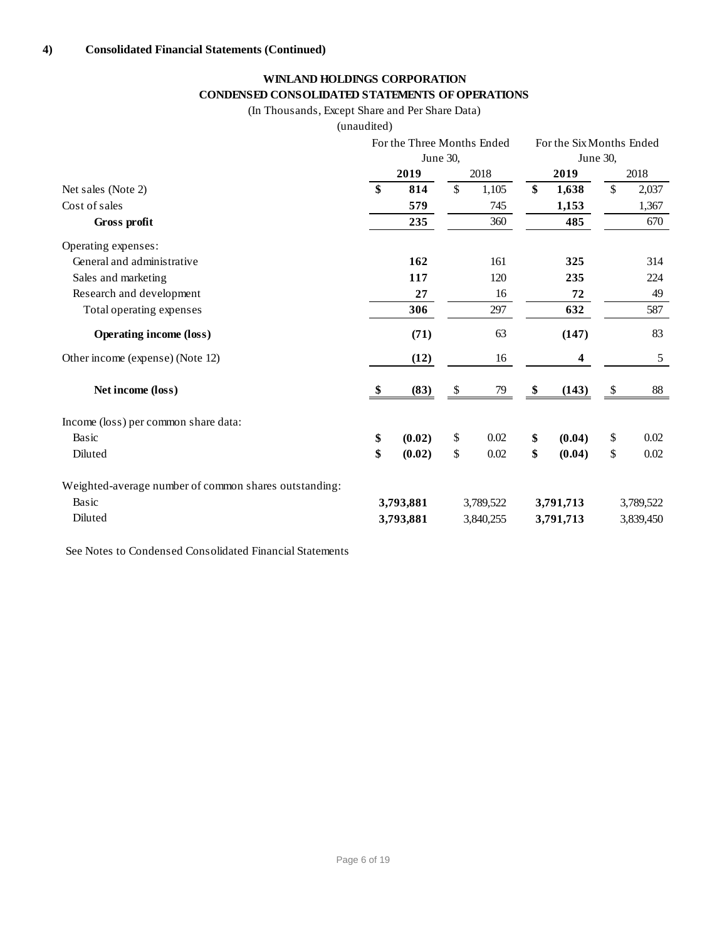## **WINLAND HOLDINGS CORPORATION CONDENSED CONSOLIDATED STATEMENTS OF OPERATIONS**

(In Thousands, Except Share and Per Share Data)

(unaudited)

|                                                       | For the Three Months Ended |           |               |           | For the Six Months Ended |           |    |               |  |
|-------------------------------------------------------|----------------------------|-----------|---------------|-----------|--------------------------|-----------|----|---------------|--|
|                                                       | June 30,                   |           |               |           | June 30,                 |           |    |               |  |
|                                                       |                            | 2019      |               | 2018      |                          | 2019      |    | 2018          |  |
| Net sales (Note 2)                                    | \$                         | 814       | $\mathsf{\$}$ | 1,105     | \$                       | 1,638     | \$ | 2,037         |  |
| Cost of sales                                         |                            | 579       |               | 745       |                          | 1,153     |    | 1,367         |  |
| Gross profit                                          |                            | 235       |               | 360       |                          | 485       |    | 670           |  |
| Operating expenses:                                   |                            |           |               |           |                          |           |    |               |  |
| General and administrative                            |                            | 162       |               | 161       |                          | 325       |    | 314           |  |
| Sales and marketing                                   |                            | 117       |               | 120       |                          | 235       |    | 224           |  |
| Research and development                              |                            | 27        |               | 16        |                          | 72        |    | 49            |  |
| Total operating expenses                              |                            | 306       |               | 297       |                          | 632       |    | 587           |  |
| <b>Operating income (loss)</b>                        |                            | (71)      |               | 63        |                          | (147)     |    | 83            |  |
| Other income (expense) (Note 12)                      |                            | (12)      |               | 16        |                          | 4         |    | $\mathfrak s$ |  |
| Net income (loss)                                     |                            | (83)      | \$            | 79        | \$                       | (143)     | \$ | 88            |  |
| Income (loss) per common share data:                  |                            |           |               |           |                          |           |    |               |  |
| Basic                                                 | \$                         | (0.02)    | \$            | 0.02      | \$                       | (0.04)    | \$ | 0.02          |  |
| Diluted                                               | \$                         | (0.02)    | \$            | $0.02\,$  | \$                       | (0.04)    | \$ | 0.02          |  |
| Weighted-average number of common shares outstanding: |                            |           |               |           |                          |           |    |               |  |
| Basic                                                 |                            | 3,793,881 |               | 3,789,522 |                          | 3,791,713 |    | 3,789,522     |  |
| Diluted                                               |                            | 3,793,881 |               | 3,840,255 |                          | 3,791,713 |    | 3,839,450     |  |

See Notes to Condensed Consolidated Financial Statements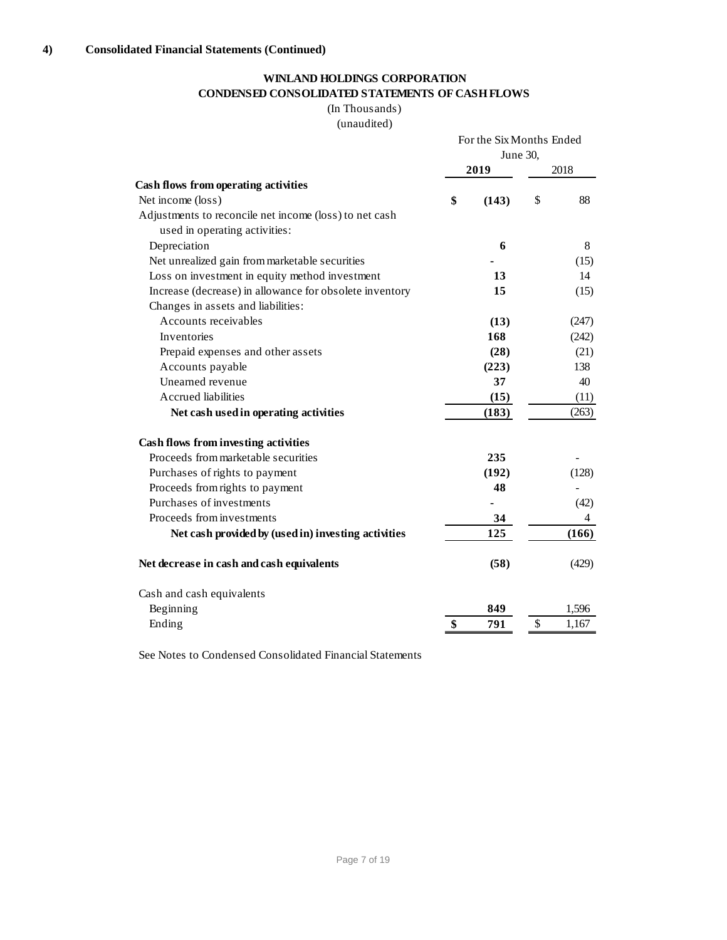# **WINLAND HOLDINGS CORPORATION CONDENSED CONSOLIDATED STATEMENTS OF CASH FLOWS**

(In Thousands)

(unaudited)

|                                                         | For the Six Months Ended<br>June 30, |       |    |       |
|---------------------------------------------------------|--------------------------------------|-------|----|-------|
|                                                         |                                      | 2019  |    | 2018  |
| Cash flows from operating activities                    |                                      |       |    |       |
| Net income (loss)                                       | \$                                   | (143) | \$ | 88    |
| Adjustments to reconcile net income (loss) to net cash  |                                      |       |    |       |
| used in operating activities:                           |                                      |       |    |       |
| Depreciation                                            |                                      | 6     |    | 8     |
| Net unrealized gain from marketable securities          |                                      |       |    | (15)  |
| Loss on investment in equity method investment          |                                      | 13    |    | 14    |
| Increase (decrease) in allowance for obsolete inventory |                                      | 15    |    | (15)  |
| Changes in assets and liabilities:                      |                                      |       |    |       |
| Accounts receivables                                    |                                      | (13)  |    | (247) |
| <b>Inventories</b>                                      |                                      | 168   |    | (242) |
| Prepaid expenses and other assets                       |                                      | (28)  |    | (21)  |
| Accounts payable                                        |                                      | (223) |    | 138   |
| Unearned revenue                                        |                                      | 37    |    | 40    |
| Accrued liabilities                                     |                                      | (15)  |    | (11)  |
| Net cash used in operating activities                   |                                      | (183) |    | (263) |
| Cash flows from investing activities                    |                                      |       |    |       |
| Proceeds from marketable securities                     |                                      | 235   |    |       |
| Purchases of rights to payment                          |                                      | (192) |    | (128) |
| Proceeds from rights to payment                         |                                      | 48    |    |       |
| Purchases of investments                                |                                      |       |    | (42)  |
| Proceeds from investments                               |                                      | 34    |    | 4     |
| Net cash provided by (used in) investing activities     |                                      | 125   |    | (166) |
| Net decrease in cash and cash equivalents               |                                      | (58)  |    | (429) |
| Cash and cash equivalents                               |                                      |       |    |       |
| Beginning                                               |                                      | 849   |    | 1,596 |
| Ending                                                  | \$                                   | 791   | \$ | 1,167 |

See Notes to Condensed Consolidated Financial Statements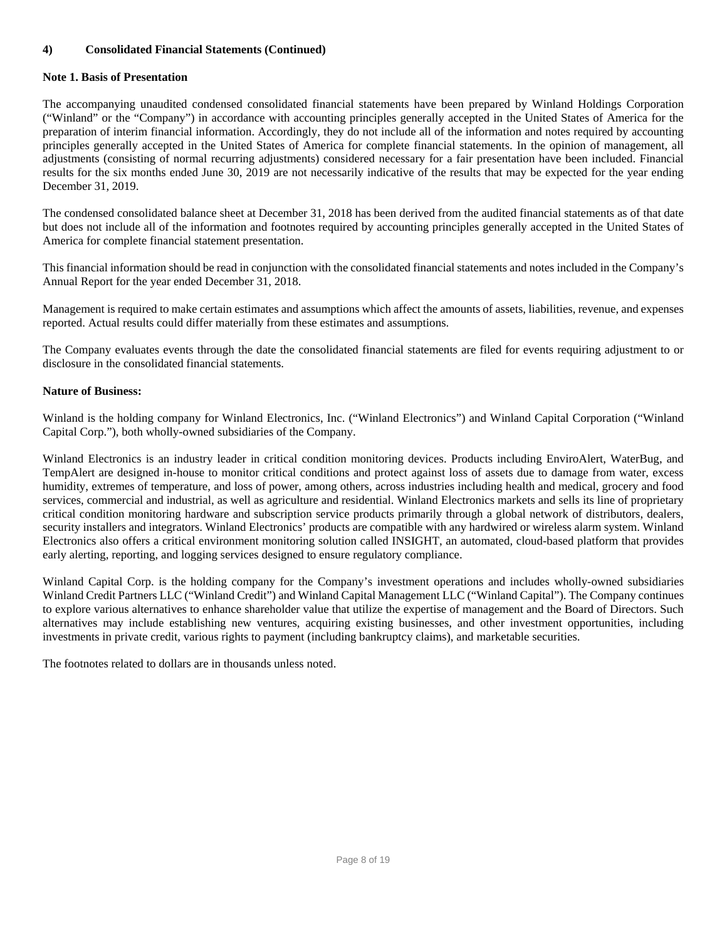#### **Note 1. Basis of Presentation**

The accompanying unaudited condensed consolidated financial statements have been prepared by Winland Holdings Corporation ("Winland" or the "Company") in accordance with accounting principles generally accepted in the United States of America for the preparation of interim financial information. Accordingly, they do not include all of the information and notes required by accounting principles generally accepted in the United States of America for complete financial statements. In the opinion of management, all adjustments (consisting of normal recurring adjustments) considered necessary for a fair presentation have been included. Financial results for the six months ended June 30, 2019 are not necessarily indicative of the results that may be expected for the year ending December 31, 2019.

The condensed consolidated balance sheet at December 31, 2018 has been derived from the audited financial statements as of that date but does not include all of the information and footnotes required by accounting principles generally accepted in the United States of America for complete financial statement presentation.

This financial information should be read in conjunction with the consolidated financial statements and notes included in the Company's Annual Report for the year ended December 31, 2018.

Management is required to make certain estimates and assumptions which affect the amounts of assets, liabilities, revenue, and expenses reported. Actual results could differ materially from these estimates and assumptions.

The Company evaluates events through the date the consolidated financial statements are filed for events requiring adjustment to or disclosure in the consolidated financial statements.

#### **Nature of Business:**

Winland is the holding company for Winland Electronics, Inc. ("Winland Electronics") and Winland Capital Corporation ("Winland Capital Corp."), both wholly-owned subsidiaries of the Company.

Winland Electronics is an industry leader in critical condition monitoring devices. Products including EnviroAlert, WaterBug, and TempAlert are designed in-house to monitor critical conditions and protect against loss of assets due to damage from water, excess humidity, extremes of temperature, and loss of power, among others, across industries including health and medical, grocery and food services, commercial and industrial, as well as agriculture and residential. Winland Electronics markets and sells its line of proprietary critical condition monitoring hardware and subscription service products primarily through a global network of distributors, dealers, security installers and integrators. Winland Electronics' products are compatible with any hardwired or wireless alarm system. Winland Electronics also offers a critical environment monitoring solution called INSIGHT, an automated, cloud-based platform that provides early alerting, reporting, and logging services designed to ensure regulatory compliance.

Winland Capital Corp. is the holding company for the Company's investment operations and includes wholly-owned subsidiaries Winland Credit Partners LLC ("Winland Credit") and Winland Capital Management LLC ("Winland Capital"). The Company continues to explore various alternatives to enhance shareholder value that utilize the expertise of management and the Board of Directors. Such alternatives may include establishing new ventures, acquiring existing businesses, and other investment opportunities, including investments in private credit, various rights to payment (including bankruptcy claims), and marketable securities.

The footnotes related to dollars are in thousands unless noted.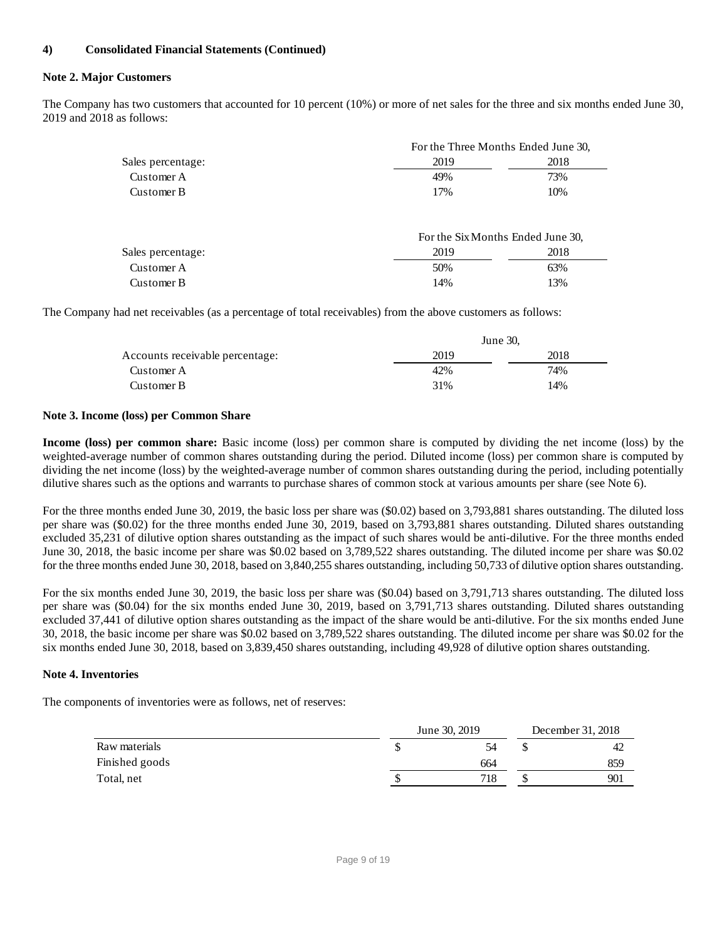#### **Note 2. Major Customers**

The Company has two customers that accounted for 10 percent (10%) or more of net sales for the three and six months ended June 30, 2019 and 2018 as follows:

|                   | For the Three Months Ended June 30, |      |  |  |  |
|-------------------|-------------------------------------|------|--|--|--|
| Sales percentage: | 2019                                | 2018 |  |  |  |
| Customer A        | 49%                                 | 73%  |  |  |  |
| Customer B        | 17%                                 | 10%  |  |  |  |

|                   | For the Six Months Ended June 30, |      |  |  |  |
|-------------------|-----------------------------------|------|--|--|--|
| Sales percentage: | 2019                              | 2018 |  |  |  |
| Customer A        | 50%                               | 63%  |  |  |  |
| Customer B        | 14%                               | 13%  |  |  |  |

The Company had net receivables (as a percentage of total receivables) from the above customers as follows:

|                                 | June 30, |      |
|---------------------------------|----------|------|
| Accounts receivable percentage: | 2019     | 2018 |
| Customer A                      | 42%      | 74%  |
| Customer B                      | 31%      | 14%  |

#### **Note 3. Income (loss) per Common Share**

**Income (loss) per common share:** Basic income (loss) per common share is computed by dividing the net income (loss) by the weighted-average number of common shares outstanding during the period. Diluted income (loss) per common share is computed by dividing the net income (loss) by the weighted-average number of common shares outstanding during the period, including potentially dilutive shares such as the options and warrants to purchase shares of common stock at various amounts per share (see Note 6).

For the three months ended June 30, 2019, the basic loss per share was  $(\$0.02)$  based on 3,793,881 shares outstanding. The diluted loss per share was (\$0.02) for the three months ended June 30, 2019, based on 3,793,881 shares outstanding. Diluted shares outstanding excluded 35,231 of dilutive option shares outstanding as the impact of such shares would be anti-dilutive. For the three months ended June 30, 2018, the basic income per share was \$0.02 based on 3,789,522 shares outstanding. The diluted income per share was \$0.02 for the three months ended June 30, 2018, based on 3,840,255 shares outstanding, including 50,733 of dilutive option shares outstanding.

For the six months ended June 30, 2019, the basic loss per share was  $(\$0.04)$  based on 3,791,713 shares outstanding. The diluted loss per share was (\$0.04) for the six months ended June 30, 2019, based on 3,791,713 shares outstanding. Diluted shares outstanding excluded 37,441 of dilutive option shares outstanding as the impact of the share would be anti-dilutive. For the six months ended June 30, 2018, the basic income per share was \$0.02 based on 3,789,522 shares outstanding. The diluted income per share was \$0.02 for the six months ended June 30, 2018, based on 3,839,450 shares outstanding, including 49,928 of dilutive option shares outstanding.

#### **Note 4. Inventories**

The components of inventories were as follows, net of reserves:

|                | June 30, 2019 |     |  | December 31, 2018 |  |  |
|----------------|---------------|-----|--|-------------------|--|--|
| Raw materials  |               | 54  |  | 42                |  |  |
| Finished goods |               | 664 |  | 859               |  |  |
| Total, net     |               | 718 |  | 901               |  |  |
|                |               |     |  |                   |  |  |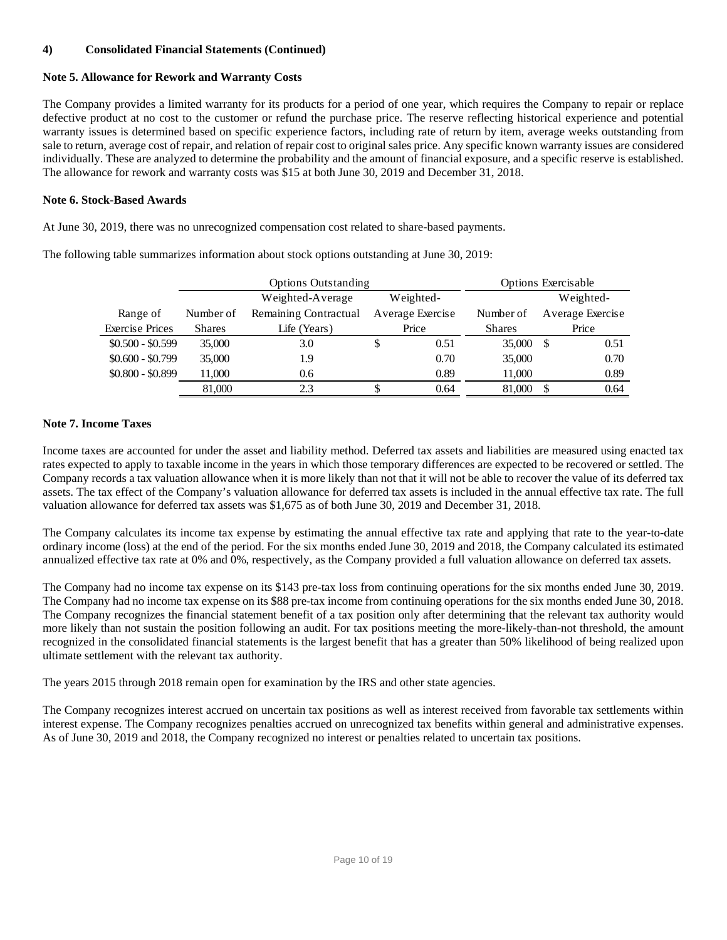#### **Note 5. Allowance for Rework and Warranty Costs**

The Company provides a limited warranty for its products for a period of one year, which requires the Company to repair or replace defective product at no cost to the customer or refund the purchase price. The reserve reflecting historical experience and potential warranty issues is determined based on specific experience factors, including rate of return by item, average weeks outstanding from sale to return, average cost of repair, and relation of repair cost to original sales price. Any specific known warranty issues are considered individually. These are analyzed to determine the probability and the amount of financial exposure, and a specific reserve is established. The allowance for rework and warranty costs was \$15 at both June 30, 2019 and December 31, 2018.

#### **Note 6. Stock-Based Awards**

At June 30, 2019, there was no unrecognized compensation cost related to share-based payments.

The following table summarizes information about stock options outstanding at June 30, 2019:

|                        |               | <b>Options Outstanding</b> |                  |               | <b>Options Exercisable</b> |                  |
|------------------------|---------------|----------------------------|------------------|---------------|----------------------------|------------------|
|                        |               | Weighted-Average           | Weighted-        |               |                            | Weighted-        |
| Range of               | Number of     | Remaining Contractual      | Average Exercise | Number of     |                            | Average Exercise |
| <b>Exercise Prices</b> | <b>Shares</b> | Life (Years)               | Price            | <b>Shares</b> |                            | Price            |
| $$0.500 - $0.599$      | 35,000        | 3.0                        | \$<br>0.51       | 35,000        | - \$                       | 0.51             |
| $$0.600 - $0.799$      | 35,000        | 1.9                        | 0.70             | 35,000        |                            | 0.70             |
| $$0.800 - $0.899$      | 11,000        | 0.6                        | 0.89             | 11,000        |                            | 0.89             |
|                        | 81,000        | 2.3                        | 0.64             | 81,000        |                            | 0.64             |

### **Note 7. Income Taxes**

Income taxes are accounted for under the asset and liability method. Deferred tax assets and liabilities are measured using enacted tax rates expected to apply to taxable income in the years in which those temporary differences are expected to be recovered or settled. The Company records a tax valuation allowance when it is more likely than not that it will not be able to recover the value of its deferred tax assets. The tax effect of the Company's valuation allowance for deferred tax assets is included in the annual effective tax rate. The full valuation allowance for deferred tax assets was \$1,675 as of both June 30, 2019 and December 31, 2018.

The Company calculates its income tax expense by estimating the annual effective tax rate and applying that rate to the year-to-date ordinary income (loss) at the end of the period. For the six months ended June 30, 2019 and 2018, the Company calculated its estimated annualized effective tax rate at 0% and 0%, respectively, as the Company provided a full valuation allowance on deferred tax assets.

The Company had no income tax expense on its \$143 pre-tax loss from continuing operations for the six months ended June 30, 2019. The Company had no income tax expense on its \$88 pre-tax income from continuing operations for the six months ended June 30, 2018. The Company recognizes the financial statement benefit of a tax position only after determining that the relevant tax authority would more likely than not sustain the position following an audit. For tax positions meeting the more-likely-than-not threshold, the amount recognized in the consolidated financial statements is the largest benefit that has a greater than 50% likelihood of being realized upon ultimate settlement with the relevant tax authority.

The years 2015 through 2018 remain open for examination by the IRS and other state agencies.

The Company recognizes interest accrued on uncertain tax positions as well as interest received from favorable tax settlements within interest expense. The Company recognizes penalties accrued on unrecognized tax benefits within general and administrative expenses. As of June 30, 2019 and 2018, the Company recognized no interest or penalties related to uncertain tax positions.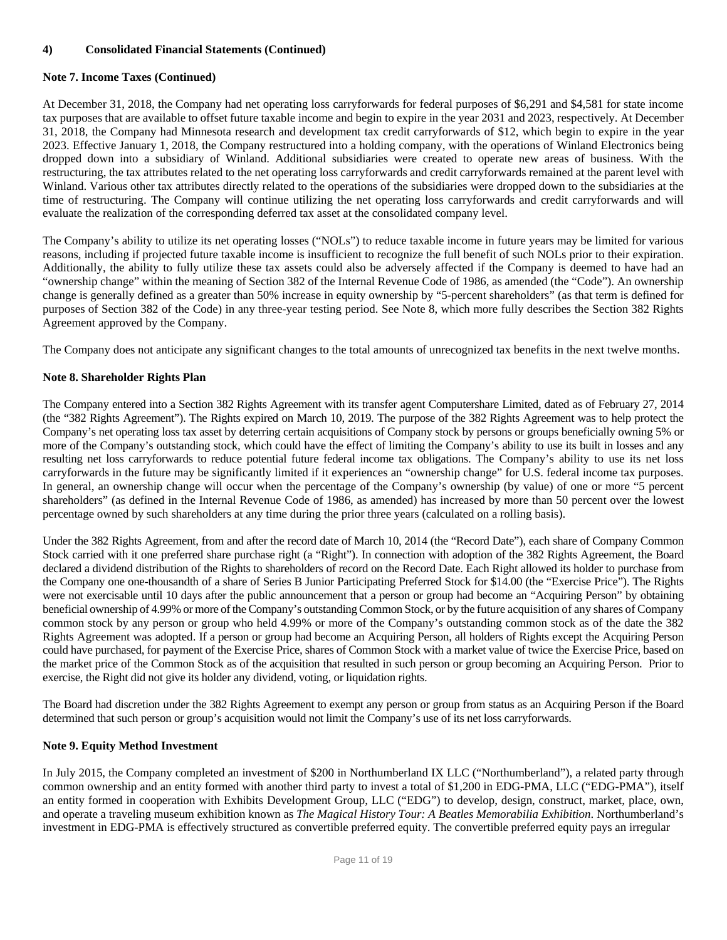#### **Note 7. Income Taxes (Continued)**

At December 31, 2018, the Company had net operating loss carryforwards for federal purposes of \$6,291 and \$4,581 for state income tax purposes that are available to offset future taxable income and begin to expire in the year 2031 and 2023, respectively. At December 31, 2018, the Company had Minnesota research and development tax credit carryforwards of \$12, which begin to expire in the year 2023. Effective January 1, 2018, the Company restructured into a holding company, with the operations of Winland Electronics being dropped down into a subsidiary of Winland. Additional subsidiaries were created to operate new areas of business. With the restructuring, the tax attributes related to the net operating loss carryforwards and credit carryforwards remained at the parent level with Winland. Various other tax attributes directly related to the operations of the subsidiaries were dropped down to the subsidiaries at the time of restructuring. The Company will continue utilizing the net operating loss carryforwards and credit carryforwards and will evaluate the realization of the corresponding deferred tax asset at the consolidated company level.

The Company's ability to utilize its net operating losses ("NOLs") to reduce taxable income in future years may be limited for various reasons, including if projected future taxable income is insufficient to recognize the full benefit of such NOLs prior to their expiration. Additionally, the ability to fully utilize these tax assets could also be adversely affected if the Company is deemed to have had an "ownership change" within the meaning of Section 382 of the Internal Revenue Code of 1986, as amended (the "Code"). An ownership change is generally defined as a greater than 50% increase in equity ownership by "5-percent shareholders" (as that term is defined for purposes of Section 382 of the Code) in any three-year testing period. See Note 8, which more fully describes the Section 382 Rights Agreement approved by the Company.

The Company does not anticipate any significant changes to the total amounts of unrecognized tax benefits in the next twelve months.

### **Note 8. Shareholder Rights Plan**

The Company entered into a Section 382 Rights Agreement with its transfer agent Computershare Limited, dated as of February 27, 2014 (the "382 Rights Agreement"). The Rights expired on March 10, 2019. The purpose of the 382 Rights Agreement was to help protect the Company's net operating loss tax asset by deterring certain acquisitions of Company stock by persons or groups beneficially owning 5% or more of the Company's outstanding stock, which could have the effect of limiting the Company's ability to use its built in losses and any resulting net loss carryforwards to reduce potential future federal income tax obligations. The Company's ability to use its net loss carryforwards in the future may be significantly limited if it experiences an "ownership change" for U.S. federal income tax purposes. In general, an ownership change will occur when the percentage of the Company's ownership (by value) of one or more "5 percent shareholders" (as defined in the Internal Revenue Code of 1986, as amended) has increased by more than 50 percent over the lowest percentage owned by such shareholders at any time during the prior three years (calculated on a rolling basis).

Under the 382 Rights Agreement, from and after the record date of March 10, 2014 (the "Record Date"), each share of Company Common Stock carried with it one preferred share purchase right (a "Right"). In connection with adoption of the 382 Rights Agreement, the Board declared a dividend distribution of the Rights to shareholders of record on the Record Date. Each Right allowed its holder to purchase from the Company one one-thousandth of a share of Series B Junior Participating Preferred Stock for \$14.00 (the "Exercise Price"). The Rights were not exercisable until 10 days after the public announcement that a person or group had become an "Acquiring Person" by obtaining beneficial ownership of 4.99% or more of the Company's outstanding Common Stock, or by the future acquisition of any shares of Company common stock by any person or group who held 4.99% or more of the Company's outstanding common stock as of the date the 382 Rights Agreement was adopted. If a person or group had become an Acquiring Person, all holders of Rights except the Acquiring Person could have purchased, for payment of the Exercise Price, shares of Common Stock with a market value of twice the Exercise Price, based on the market price of the Common Stock as of the acquisition that resulted in such person or group becoming an Acquiring Person. Prior to exercise, the Right did not give its holder any dividend, voting, or liquidation rights.

The Board had discretion under the 382 Rights Agreement to exempt any person or group from status as an Acquiring Person if the Board determined that such person or group's acquisition would not limit the Company's use of its net loss carryforwards.

#### **Note 9. Equity Method Investment**

In July 2015, the Company completed an investment of \$200 in Northumberland IX LLC ("Northumberland"), a related party through common ownership and an entity formed with another third party to invest a total of \$1,200 in EDG-PMA, LLC ("EDG-PMA"), itself an entity formed in cooperation with Exhibits Development Group, LLC ("EDG") to develop, design, construct, market, place, own, and operate a traveling museum exhibition known as *The Magical History Tour: A Beatles Memorabilia Exhibition*. Northumberland's investment in EDG-PMA is effectively structured as convertible preferred equity. The convertible preferred equity pays an irregular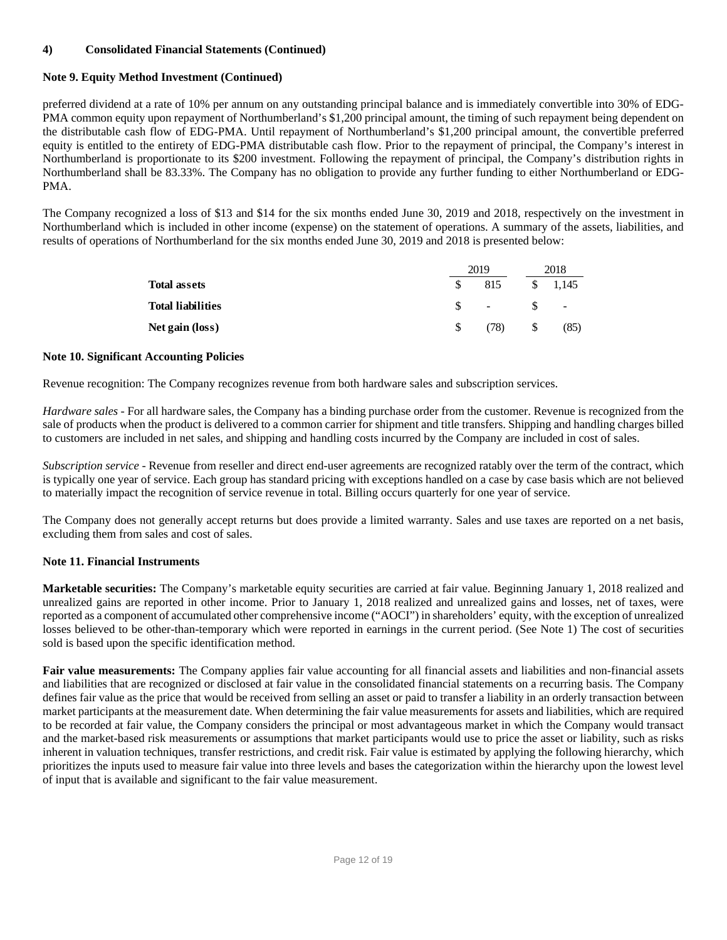#### **Note 9. Equity Method Investment (Continued)**

preferred dividend at a rate of 10% per annum on any outstanding principal balance and is immediately convertible into 30% of EDG-PMA common equity upon repayment of Northumberland's \$1,200 principal amount, the timing of such repayment being dependent on the distributable cash flow of EDG-PMA. Until repayment of Northumberland's \$1,200 principal amount, the convertible preferred equity is entitled to the entirety of EDG-PMA distributable cash flow. Prior to the repayment of principal, the Company's interest in Northumberland is proportionate to its \$200 investment. Following the repayment of principal, the Company's distribution rights in Northumberland shall be 83.33%. The Company has no obligation to provide any further funding to either Northumberland or EDG-PMA.

The Company recognized a loss of \$13 and \$14 for the six months ended June 30, 2019 and 2018, respectively on the investment in Northumberland which is included in other income (expense) on the statement of operations. A summary of the assets, liabilities, and results of operations of Northumberland for the six months ended June 30, 2019 and 2018 is presented below:

|                          |    | 2019           | 2018                     |
|--------------------------|----|----------------|--------------------------|
| <b>Total assets</b>      |    | 815            | \$<br>1.145              |
| <b>Total liabilities</b> |    | $\blacksquare$ | $\overline{\phantom{a}}$ |
| Net gain (loss)          | S. | (78)           | \$<br>(85)               |

#### **Note 10. Significant Accounting Policies**

Revenue recognition: The Company recognizes revenue from both hardware sales and subscription services.

*Hardware sales -* For all hardware sales, the Company has a binding purchase order from the customer. Revenue is recognized from the sale of products when the product is delivered to a common carrier for shipment and title transfers. Shipping and handling charges billed to customers are included in net sales, and shipping and handling costs incurred by the Company are included in cost of sales.

*Subscription service -* Revenue from reseller and direct end-user agreements are recognized ratably over the term of the contract, which is typically one year of service. Each group has standard pricing with exceptions handled on a case by case basis which are not believed to materially impact the recognition of service revenue in total. Billing occurs quarterly for one year of service.

The Company does not generally accept returns but does provide a limited warranty. Sales and use taxes are reported on a net basis, excluding them from sales and cost of sales.

#### **Note 11. Financial Instruments**

**Marketable securities:** The Company's marketable equity securities are carried at fair value. Beginning January 1, 2018 realized and unrealized gains are reported in other income. Prior to January 1, 2018 realized and unrealized gains and losses, net of taxes, were reported as a component of accumulated other comprehensive income ("AOCI") in shareholders' equity, with the exception of unrealized losses believed to be other-than-temporary which were reported in earnings in the current period. (See Note 1) The cost of securities sold is based upon the specific identification method.

**Fair value measurements:** The Company applies fair value accounting for all financial assets and liabilities and non-financial assets and liabilities that are recognized or disclosed at fair value in the consolidated financial statements on a recurring basis. The Company defines fair value as the price that would be received from selling an asset or paid to transfer a liability in an orderly transaction between market participants at the measurement date. When determining the fair value measurements for assets and liabilities, which are required to be recorded at fair value, the Company considers the principal or most advantageous market in which the Company would transact and the market-based risk measurements or assumptions that market participants would use to price the asset or liability, such as risks inherent in valuation techniques, transfer restrictions, and credit risk. Fair value is estimated by applying the following hierarchy, which prioritizes the inputs used to measure fair value into three levels and bases the categorization within the hierarchy upon the lowest level of input that is available and significant to the fair value measurement.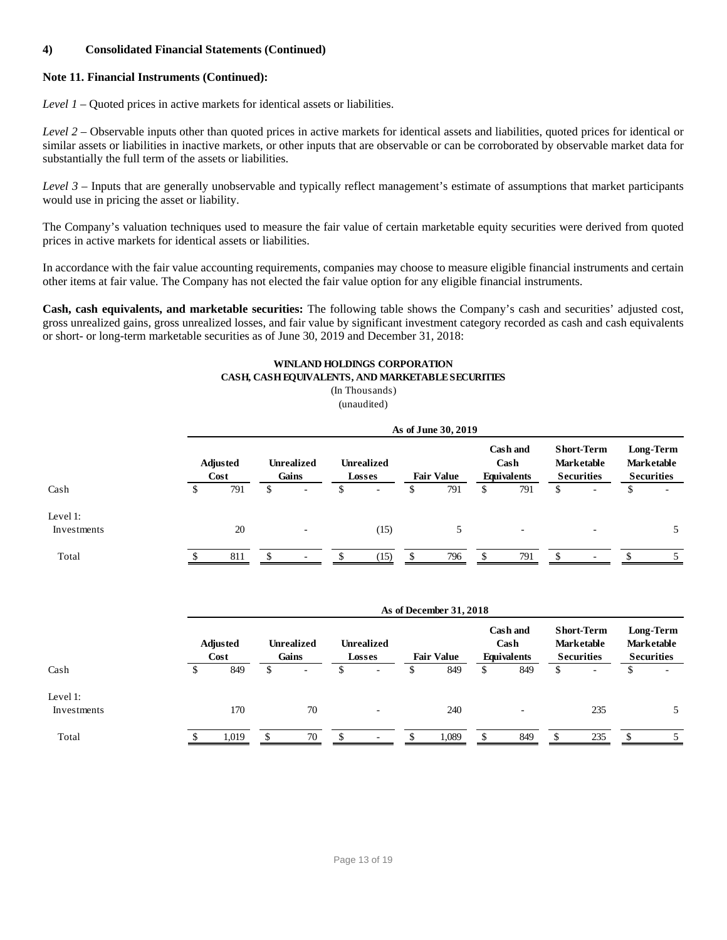#### **Note 11. Financial Instruments (Continued):**

*Level 1* – Quoted prices in active markets for identical assets or liabilities.

*Level 2* – Observable inputs other than quoted prices in active markets for identical assets and liabilities, quoted prices for identical or similar assets or liabilities in inactive markets, or other inputs that are observable or can be corroborated by observable market data for substantially the full term of the assets or liabilities.

*Level 3* – Inputs that are generally unobservable and typically reflect management's estimate of assumptions that market participants would use in pricing the asset or liability.

The Company's valuation techniques used to measure the fair value of certain marketable equity securities were derived from quoted prices in active markets for identical assets or liabilities.

In accordance with the fair value accounting requirements, companies may choose to measure eligible financial instruments and certain other items at fair value. The Company has not elected the fair value option for any eligible financial instruments.

**Cash, cash equivalents, and marketable securities:** The following table shows the Company's cash and securities' adjusted cost, gross unrealized gains, gross unrealized losses, and fair value by significant investment category recorded as cash and cash equivalents or short- or long-term marketable securities as of June 30, 2019 and December 31, 2018:

#### **WINLAND HOLDINGS CORPORATION CASH, CASH EQUIVALENTS, AND MARKETABLE SECURITIES**

(In Thousands)

(unaudited)

|                         |   | As of June 30, 2019     |    |                            |               |                             |   |                   |    |                                        |    |                                                             |                                                     |
|-------------------------|---|-------------------------|----|----------------------------|---------------|-----------------------------|---|-------------------|----|----------------------------------------|----|-------------------------------------------------------------|-----------------------------------------------------|
|                         |   | <b>Adjusted</b><br>Cost |    | <b>Unrealized</b><br>Gains |               | <b>Unrealized</b><br>Losses |   | <b>Fair Value</b> |    | Cash and<br>Cash<br><b>Equivalents</b> |    | <b>Short-Term</b><br><b>Marketable</b><br><b>Securities</b> | Long-Term<br><b>Marketable</b><br><b>Securities</b> |
| Cash                    | ъ | 791                     | S. | $\sim$                     | <sup>\$</sup> | $\overline{\phantom{a}}$    | S | 791               | \$ | 791                                    | \$ | $\overline{\phantom{a}}$                                    | \$<br>$\overline{\phantom{a}}$                      |
| Level 1:<br>Investments |   | 20                      |    | $\overline{\phantom{a}}$   |               | (15)                        |   | 5                 |    | $\overline{\phantom{a}}$               |    | $\overline{\phantom{a}}$                                    |                                                     |
| Total                   |   | 811                     |    | ۰.                         | Φ             | (15)                        |   | 796               | S  | 791                                    | £. | $\overline{\phantom{a}}$                                    |                                                     |

|             | As of December 31, 2018 |    |                            |    |                             |  |                   |    |                                        |                                                             |   |                                              |
|-------------|-------------------------|----|----------------------------|----|-----------------------------|--|-------------------|----|----------------------------------------|-------------------------------------------------------------|---|----------------------------------------------|
|             | <b>Adjusted</b><br>Cost |    | <b>Unrealized</b><br>Gains |    | <b>Unrealized</b><br>Losses |  | <b>Fair Value</b> |    | Cash and<br>Cash<br><b>Equivalents</b> | <b>Short-Term</b><br><b>Marketable</b><br><b>Securities</b> |   | Long-Term<br>Marketable<br><b>Securities</b> |
| Cash        | \$<br>849               | \$ | $\overline{\phantom{0}}$   | \$ | $\overline{\phantom{0}}$    |  | 849               | \$ | 849                                    | \$<br>$\overline{\phantom{a}}$                              | P | $\overline{\phantom{a}}$                     |
| Level 1:    |                         |    |                            |    |                             |  |                   |    |                                        |                                                             |   |                                              |
| Investments | 170                     |    | 70                         |    | $\overline{\phantom{a}}$    |  | 240               |    | $\overline{\phantom{a}}$               | 235                                                         |   |                                              |
| Total       | 1.019                   |    | 70                         | £. | $\overline{\phantom{a}}$    |  | 1.089             |    | 849                                    | 235                                                         |   |                                              |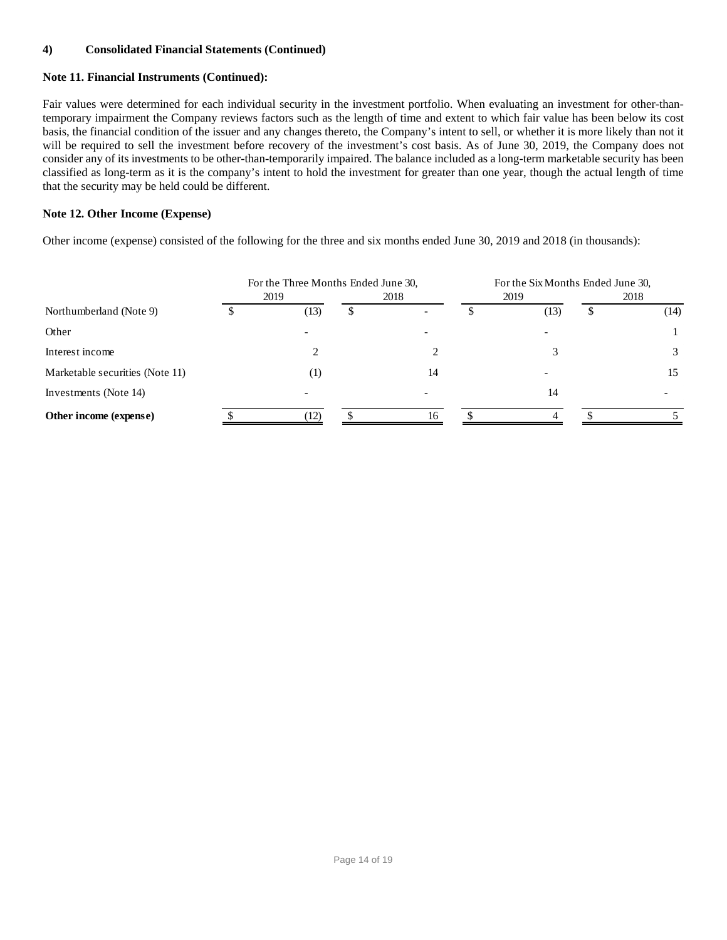# **Note 11. Financial Instruments (Continued):**

Fair values were determined for each individual security in the investment portfolio. When evaluating an investment for other-thantemporary impairment the Company reviews factors such as the length of time and extent to which fair value has been below its cost basis, the financial condition of the issuer and any changes thereto, the Company's intent to sell, or whether it is more likely than not it will be required to sell the investment before recovery of the investment's cost basis. As of June 30, 2019, the Company does not consider any of its investments to be other-than-temporarily impaired. The balance included as a long-term marketable security has been classified as long-term as it is the company's intent to hold the investment for greater than one year, though the actual length of time that the security may be held could be different.

#### **Note 12. Other Income (Expense)**

Other income (expense) consisted of the following for the three and six months ended June 30, 2019 and 2018 (in thousands):

|                                 | For the Three Months Ended June 30, |     |                          |      | For the Six Months Ended June 30, |      |
|---------------------------------|-------------------------------------|-----|--------------------------|------|-----------------------------------|------|
|                                 | 2019                                |     | 2018                     | 2019 |                                   | 2018 |
| Northumberland (Note 9)         | (13)                                | SБ. | $\overline{\phantom{a}}$ | (13) | D                                 | (14) |
| Other                           |                                     |     |                          |      |                                   |      |
| Interest income                 |                                     |     |                          |      |                                   |      |
| Marketable securities (Note 11) | $\left(1\right)$                    |     | 14                       |      |                                   | 15   |
| Investments (Note 14)           |                                     |     |                          | 14   |                                   |      |
| Other income (expense)          |                                     |     | 16                       |      |                                   |      |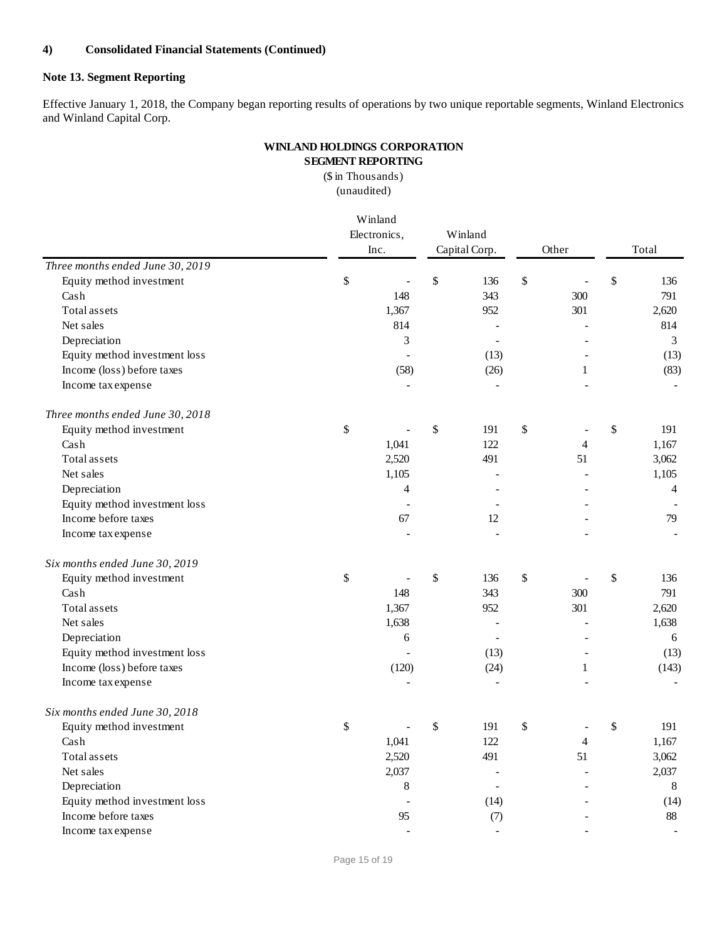### **Note 13. Segment Reporting**

Effective January 1, 2018, the Company began reporting results of operations by two unique reportable segments, Winland Electronics and Winland Capital Corp.

# **WINLAND HOLDINGS CORPORATION SEGMENT REPORTING**

(\$ in Thousands) (unaudited)

|                                  | Winland<br>Electronics,<br>Inc. | Winland<br>Capital Corp. | Other        | Total          |
|----------------------------------|---------------------------------|--------------------------|--------------|----------------|
| Three months ended June 30, 2019 |                                 |                          |              |                |
| Equity method investment         | \$                              | \$<br>136                | \$           | \$<br>136      |
| Cash                             | 148                             | 343                      | 300          | 791            |
| Total assets                     | 1,367                           | 952                      | 301          | 2,620          |
| Net sales                        | 814                             |                          |              | 814            |
| Depreciation                     | 3                               | $\overline{\phantom{a}}$ |              | $\overline{3}$ |
| Equity method investment loss    |                                 | (13)                     |              | (13)           |
| Income (loss) before taxes       | (58)                            | (26)                     | $\mathbf{1}$ | (83)           |
| Income tax expense               |                                 |                          |              |                |
| Three months ended June 30, 2018 |                                 |                          |              |                |
| Equity method investment         | \$                              | \$<br>191                | \$           | \$<br>191      |
| Cash                             | 1,041                           | 122                      | 4            | 1,167          |
| Total assets                     | 2,520                           | 491                      | 51           | 3,062          |
| Net sales                        | 1,105                           |                          |              | 1,105          |
| Depreciation                     | 4                               |                          |              | 4              |
| Equity method investment loss    |                                 |                          |              |                |
| Income before taxes              | 67                              | 12                       |              | 79             |
| Income tax expense               |                                 |                          |              |                |
| Six months ended June 30, 2019   |                                 |                          |              |                |
| Equity method investment         | \$                              | \$<br>136                | \$           | \$<br>136      |
| Cash                             | 148                             | 343                      | 300          | 791            |
| Total assets                     | 1,367                           | 952                      | 301          | 2,620          |
| Net sales                        | 1,638                           |                          |              | 1,638          |
| Depreciation                     | 6                               |                          |              | 6              |
| Equity method investment loss    |                                 | (13)                     |              | (13)           |
| Income (loss) before taxes       | (120)                           | (24)                     | 1            | (143)          |
| Income tax expense               |                                 |                          |              |                |
| Six months ended June 30, 2018   |                                 |                          |              |                |
| Equity method investment         | \$                              | \$<br>191                | \$           | \$<br>191      |
| Cash                             | 1,041                           | 122                      | 4            | 1,167          |
| Total assets                     | 2,520                           | 491                      | 51           | 3,062          |
| Net sales                        | 2,037                           |                          |              | 2,037          |
| Depreciation                     | 8                               |                          |              | 8              |
| Equity method investment loss    |                                 | (14)                     |              | (14)           |
| Income before taxes              | 95                              | (7)                      |              | 88             |
| Income tax expense               |                                 |                          |              |                |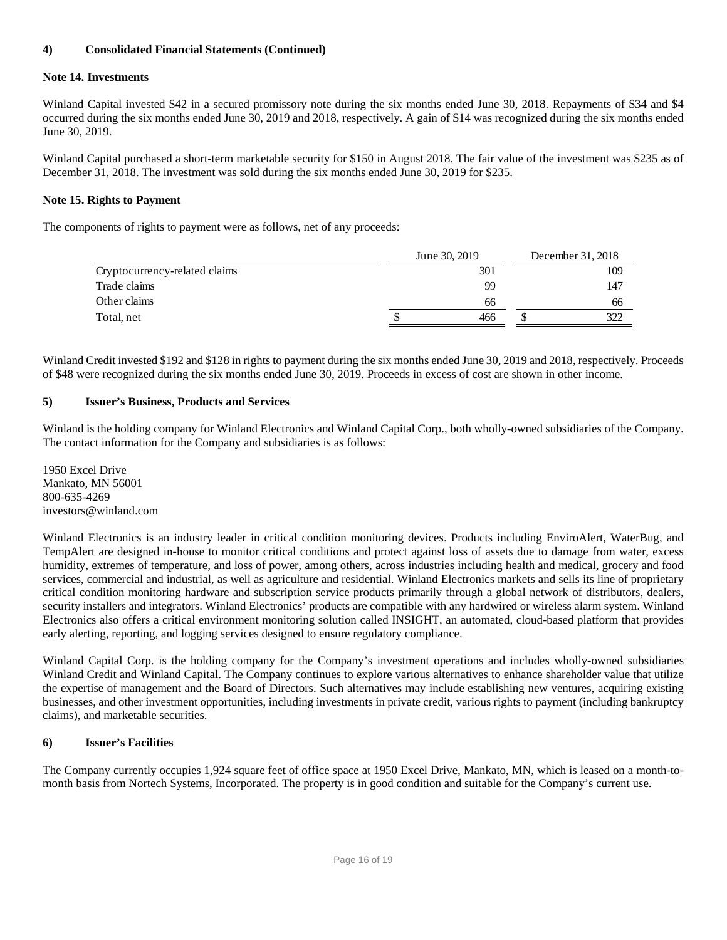#### **Note 14. Investments**

Winland Capital invested \$42 in a secured promissory note during the six months ended June 30, 2018. Repayments of \$34 and \$4 occurred during the six months ended June 30, 2019 and 2018, respectively. A gain of \$14 was recognized during the six months ended June 30, 2019.

Winland Capital purchased a short-term marketable security for \$150 in August 2018. The fair value of the investment was \$235 as of December 31, 2018. The investment was sold during the six months ended June 30, 2019 for \$235.

#### **Note 15. Rights to Payment**

The components of rights to payment were as follows, net of any proceeds:

|                               | June 30, 2019 | December 31, 2018 |
|-------------------------------|---------------|-------------------|
| Cryptocurrency-related claims | 301           | 109               |
| Trade claims                  | 99            | 147               |
| Other claims                  | 66            | 66                |
| Total, net                    | 466           | 322               |

Winland Credit invested \$192 and \$128 in rights to payment during the six months ended June 30, 2019 and 2018, respectively. Proceeds of \$48 were recognized during the six months ended June 30, 2019. Proceeds in excess of cost are shown in other income.

#### **5) Issuer's Business, Products and Services**

Winland is the holding company for Winland Electronics and Winland Capital Corp., both wholly-owned subsidiaries of the Company. The contact information for the Company and subsidiaries is as follows:

1950 Excel Drive Mankato, MN 56001 800-635-4269 investors@winland.com

Winland Electronics is an industry leader in critical condition monitoring devices. Products including EnviroAlert, WaterBug, and TempAlert are designed in-house to monitor critical conditions and protect against loss of assets due to damage from water, excess humidity, extremes of temperature, and loss of power, among others, across industries including health and medical, grocery and food services, commercial and industrial, as well as agriculture and residential. Winland Electronics markets and sells its line of proprietary critical condition monitoring hardware and subscription service products primarily through a global network of distributors, dealers, security installers and integrators. Winland Electronics' products are compatible with any hardwired or wireless alarm system. Winland Electronics also offers a critical environment monitoring solution called INSIGHT, an automated, cloud-based platform that provides early alerting, reporting, and logging services designed to ensure regulatory compliance.

Winland Capital Corp. is the holding company for the Company's investment operations and includes wholly-owned subsidiaries Winland Credit and Winland Capital. The Company continues to explore various alternatives to enhance shareholder value that utilize the expertise of management and the Board of Directors. Such alternatives may include establishing new ventures, acquiring existing businesses, and other investment opportunities, including investments in private credit, various rights to payment (including bankruptcy claims), and marketable securities.

#### **6) Issuer's Facilities**

The Company currently occupies 1,924 square feet of office space at 1950 Excel Drive, Mankato, MN, which is leased on a month-tomonth basis from Nortech Systems, Incorporated. The property is in good condition and suitable for the Company's current use.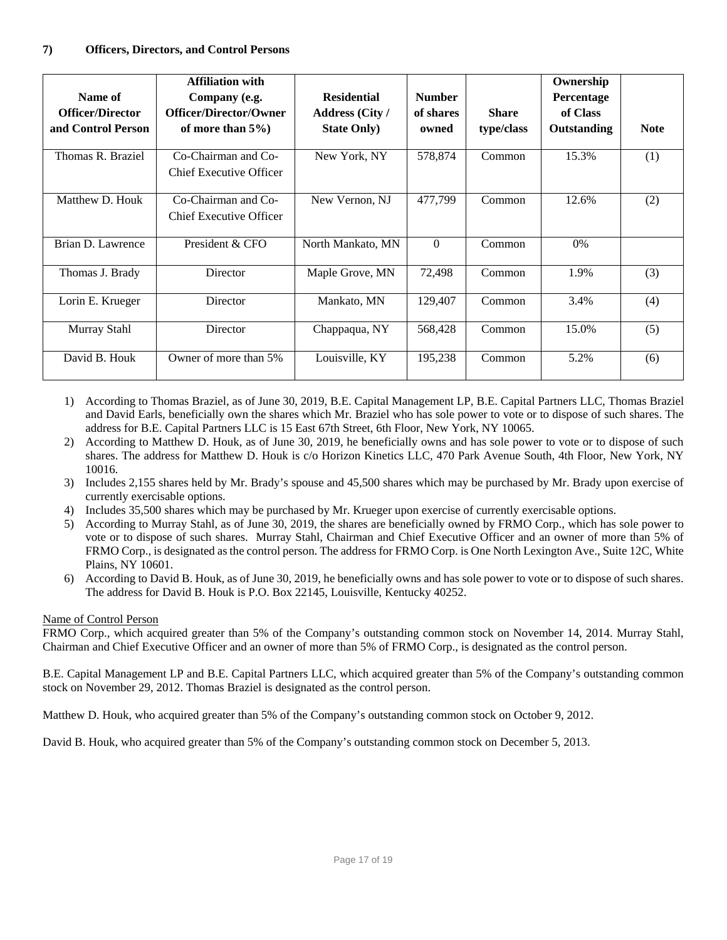| Name of<br><b>Officer/Director</b><br>and Control Person | <b>Affiliation with</b><br>Company (e.g.<br>Officer/Director/Owner<br>of more than $5\%$ ) | <b>Residential</b><br><b>Address (City /</b><br><b>State Only)</b> | <b>Number</b><br>of shares<br>owned | <b>Share</b><br>type/class | Ownership<br>Percentage<br>of Class<br>Outstanding | <b>Note</b> |
|----------------------------------------------------------|--------------------------------------------------------------------------------------------|--------------------------------------------------------------------|-------------------------------------|----------------------------|----------------------------------------------------|-------------|
| Thomas R. Braziel                                        | Co-Chairman and Co-<br><b>Chief Executive Officer</b>                                      | New York, NY                                                       | 578,874                             | Common                     | 15.3%                                              | (1)         |
| Matthew D. Houk                                          | Co-Chairman and Co-<br>Chief Executive Officer                                             | New Vernon, NJ                                                     | 477,799                             | Common                     | 12.6%                                              | (2)         |
| Brian D. Lawrence                                        | President & CFO                                                                            | North Mankato, MN                                                  | $\Omega$                            | Common                     | $0\%$                                              |             |
| Thomas J. Brady                                          | Director                                                                                   | Maple Grove, MN                                                    | 72,498                              | Common                     | 1.9%                                               | (3)         |
| Lorin E. Krueger                                         | Director                                                                                   | Mankato, MN                                                        | 129,407                             | Common                     | 3.4%                                               | (4)         |
| Murray Stahl                                             | Director                                                                                   | Chappaqua, NY                                                      | 568,428                             | Common                     | 15.0%                                              | (5)         |
| David B. Houk                                            | Owner of more than 5%                                                                      | Louisville, KY                                                     | 195,238                             | Common                     | 5.2%                                               | (6)         |

- 1) According to Thomas Braziel, as of June 30, 2019, B.E. Capital Management LP, B.E. Capital Partners LLC, Thomas Braziel and David Earls, beneficially own the shares which Mr. Braziel who has sole power to vote or to dispose of such shares. The address for B.E. Capital Partners LLC is 15 East 67th Street, 6th Floor, New York, NY 10065.
- 2) According to Matthew D. Houk, as of June 30, 2019, he beneficially owns and has sole power to vote or to dispose of such shares. The address for Matthew D. Houk is c/o Horizon Kinetics LLC, 470 Park Avenue South, 4th Floor, New York, NY 10016.
- 3) Includes 2,155 shares held by Mr. Brady's spouse and 45,500 shares which may be purchased by Mr. Brady upon exercise of currently exercisable options.
- 4) Includes 35,500 shares which may be purchased by Mr. Krueger upon exercise of currently exercisable options.
- 5) According to Murray Stahl, as of June 30, 2019, the shares are beneficially owned by FRMO Corp., which has sole power to vote or to dispose of such shares. Murray Stahl, Chairman and Chief Executive Officer and an owner of more than 5% of FRMO Corp., is designated as the control person. The address for FRMO Corp. is One North Lexington Ave., Suite 12C, White Plains, NY 10601.
- 6) According to David B. Houk, as of June 30, 2019, he beneficially owns and has sole power to vote or to dispose of such shares. The address for David B. Houk is P.O. Box 22145, Louisville, Kentucky 40252.

## Name of Control Person

FRMO Corp., which acquired greater than 5% of the Company's outstanding common stock on November 14, 2014. Murray Stahl, Chairman and Chief Executive Officer and an owner of more than 5% of FRMO Corp., is designated as the control person.

B.E. Capital Management LP and B.E. Capital Partners LLC, which acquired greater than 5% of the Company's outstanding common stock on November 29, 2012. Thomas Braziel is designated as the control person.

Matthew D. Houk, who acquired greater than 5% of the Company's outstanding common stock on October 9, 2012.

David B. Houk, who acquired greater than 5% of the Company's outstanding common stock on December 5, 2013.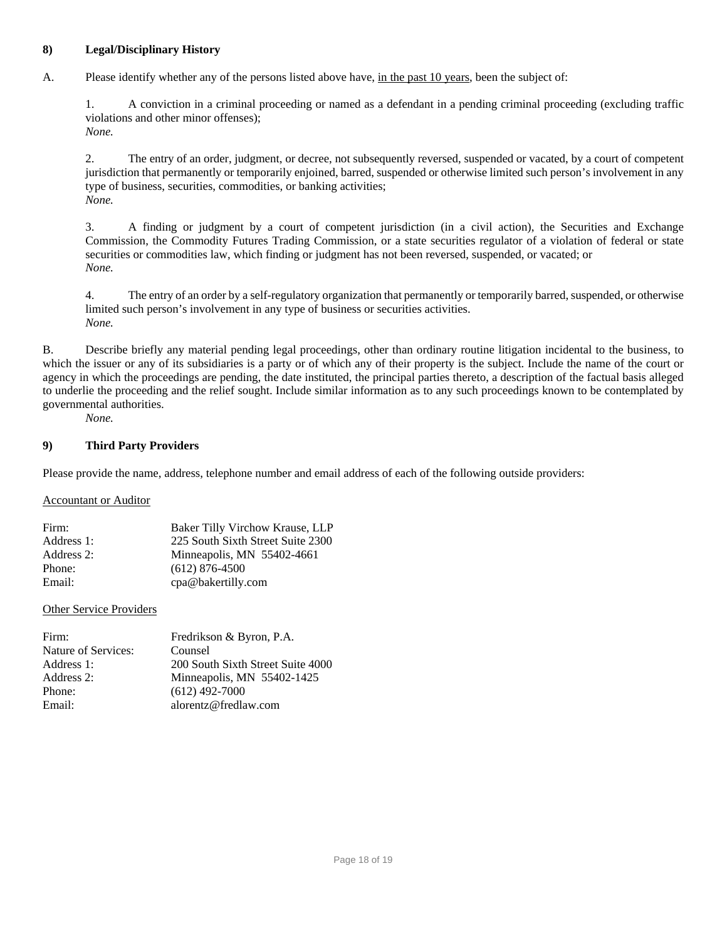## **8) Legal/Disciplinary History**

A. Please identify whether any of the persons listed above have, in the past 10 years, been the subject of:

1. A conviction in a criminal proceeding or named as a defendant in a pending criminal proceeding (excluding traffic violations and other minor offenses); *None.* 

2. The entry of an order, judgment, or decree, not subsequently reversed, suspended or vacated, by a court of competent jurisdiction that permanently or temporarily enjoined, barred, suspended or otherwise limited such person's involvement in any type of business, securities, commodities, or banking activities; *None.* 

3. A finding or judgment by a court of competent jurisdiction (in a civil action), the Securities and Exchange Commission, the Commodity Futures Trading Commission, or a state securities regulator of a violation of federal or state securities or commodities law, which finding or judgment has not been reversed, suspended, or vacated; or *None.* 

4. The entry of an order by a self-regulatory organization that permanently or temporarily barred, suspended, or otherwise limited such person's involvement in any type of business or securities activities. *None.* 

B. Describe briefly any material pending legal proceedings, other than ordinary routine litigation incidental to the business, to which the issuer or any of its subsidiaries is a party or of which any of their property is the subject. Include the name of the court or agency in which the proceedings are pending, the date instituted, the principal parties thereto, a description of the factual basis alleged to underlie the proceeding and the relief sought. Include similar information as to any such proceedings known to be contemplated by governmental authorities.

*None.*

### **9) Third Party Providers**

Please provide the name, address, telephone number and email address of each of the following outside providers:

#### Accountant or Auditor

| Firm:      | Baker Tilly Virchow Krause, LLP   |
|------------|-----------------------------------|
| Address 1: | 225 South Sixth Street Suite 2300 |
| Address 2: | Minneapolis, MN 55402-4661        |
| Phone:     | $(612)$ 876-4500                  |
| Email:     | cpa@bakertilly.com                |

#### Other Service Providers

| Firm:<br>Nature of Services:<br>Address 1:<br>Address 2:<br>Phone: | Fredrikson & Byron, P.A.<br>Counsel<br>200 South Sixth Street Suite 4000<br>Minneapolis, MN 55402-1425<br>$(612)$ 492-7000 |
|--------------------------------------------------------------------|----------------------------------------------------------------------------------------------------------------------------|
|                                                                    |                                                                                                                            |
| Email:                                                             | alorentz@fredlaw.com                                                                                                       |